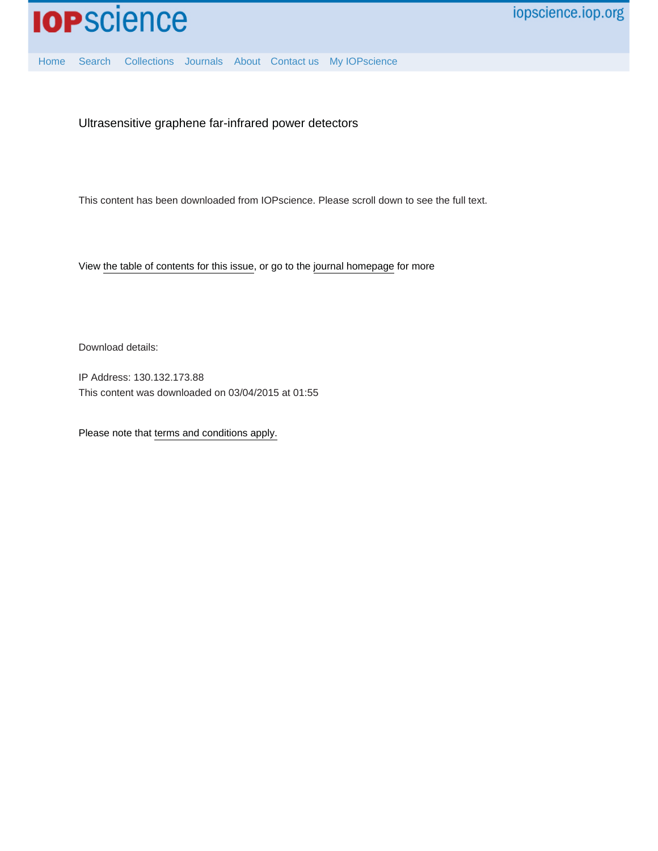

Home Search Collections Journals About Contact us My IOPscience

Ultrasensitive graphene far-infrared power detectors

This content has been downloaded from IOPscience. Please scroll down to see the full text.

View the table of contents for this issue, or go to the journal homepage for more

Download details:

IP Address: 130.132.173.88 This content was downloaded on 03/04/2015 at 01:55

Please note that terms and conditions apply.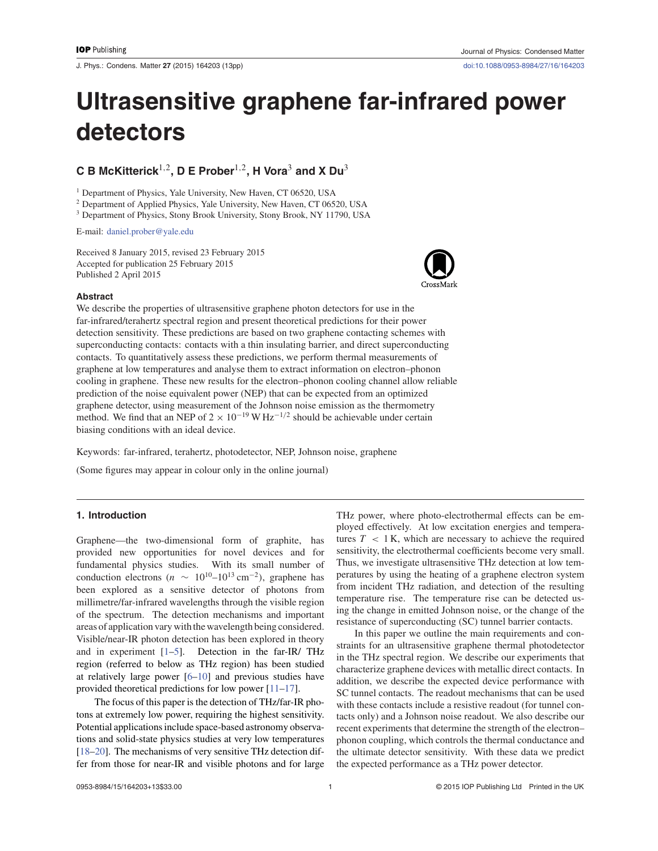# **Ultrasensitive graphene far-infrared power detectors**

**C B McKitterick**1,2**, D E Prober**1,2**, H Vora**<sup>3</sup> **and X Du**<sup>3</sup>

<sup>1</sup> Department of Physics, Yale University, New Haven, CT 06520, USA

<sup>2</sup> Department of Applied Physics, Yale University, New Haven, CT 06520, USA

<sup>3</sup> Department of Physics, Stony Brook University, Stony Brook, NY 11790, USA

E-mail: daniel.prober@yale.edu

Received 8 January 2015, revised 23 February 2015 Accepted for publication 25 February 2015 Published 2 April 2015



#### **Abstract**

We describe the properties of ultrasensitive graphene photon detectors for use in the far-infrared/terahertz spectral region and present theoretical predictions for their power detection sensitivity. These predictions are based on two graphene contacting schemes with superconducting contacts: contacts with a thin insulating barrier, and direct superconducting contacts. To quantitatively assess these predictions, we perform thermal measurements of graphene at low temperatures and analyse them to extract information on electron–phonon cooling in graphene. These new results for the electron–phonon cooling channel allow reliable prediction of the noise equivalent power (NEP) that can be expected from an optimized graphene detector, using measurement of the Johnson noise emission as the thermometry method. We find that an NEP of  $2 \times 10^{-19}$  W Hz<sup>-1/2</sup> should be achievable under certain biasing conditions with an ideal device.

Keywords: far-infrared, terahertz, photodetector, NEP, Johnson noise, graphene

(Some figures may appear in colour only in the online journal)

# **1. Introduction**

Graphene—the two-dimensional form of graphite, has provided new opportunities for novel devices and for fundamental physics studies. With its small number of conduction electrons ( $n \sim 10^{10} - 10^{13}$  cm<sup>-2</sup>), graphene has been explored as a sensitive detector of photons from millimetre/far-infrared wavelengths through the visible region of the spectrum. The detection mechanisms and important areas of application vary with the wavelength being considered. Visible/near-IR photon detection has been explored in theory and in experiment [1–5]. Detection in the far-IR/ THz region (referred to below as THz region) has been studied at relatively large power [6–10] and previous studies have provided theoretical predictions for low power [11–17].

The focus of this paper is the detection of THz/far-IR photons at extremely low power, requiring the highest sensitivity. Potential applications include space-based astronomy observations and solid-state physics studies at very low temperatures [18–20]. The mechanisms of very sensitive THz detection differ from those for near-IR and visible photons and for large THz power, where photo-electrothermal effects can be employed effectively. At low excitation energies and temperatures  $T < 1$  K, which are necessary to achieve the required sensitivity, the electrothermal coefficients become very small. Thus, we investigate ultrasensitive THz detection at low temperatures by using the heating of a graphene electron system from incident THz radiation, and detection of the resulting temperature rise. The temperature rise can be detected using the change in emitted Johnson noise, or the change of the resistance of superconducting (SC) tunnel barrier contacts.

In this paper we outline the main requirements and constraints for an ultrasensitive graphene thermal photodetector in the THz spectral region. We describe our experiments that characterize graphene devices with metallic direct contacts. In addition, we describe the expected device performance with SC tunnel contacts. The readout mechanisms that can be used with these contacts include a resistive readout (for tunnel contacts only) and a Johnson noise readout. We also describe our recent experiments that determine the strength of the electron– phonon coupling, which controls the thermal conductance and the ultimate detector sensitivity. With these data we predict the expected performance as a THz power detector.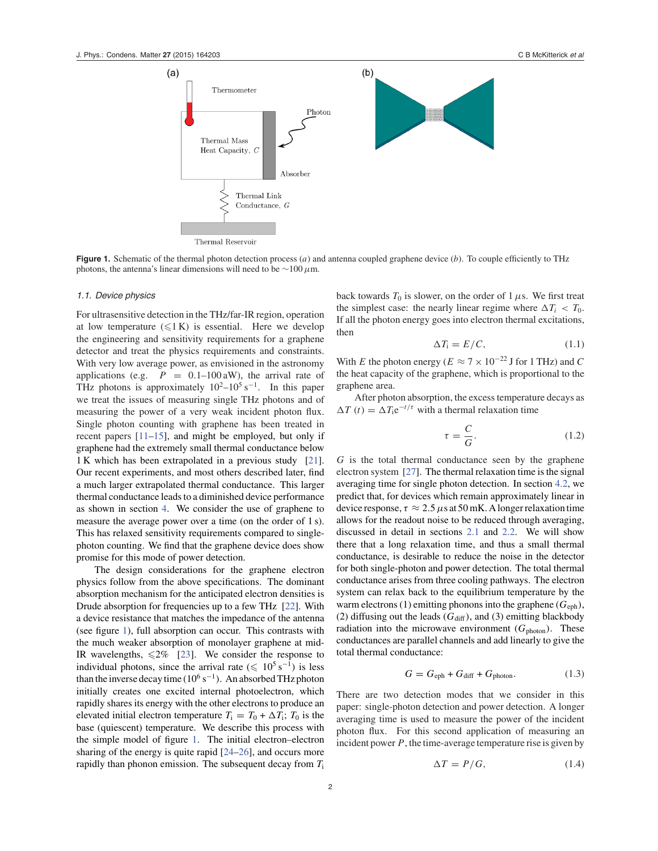

**Figure 1.** Schematic of the thermal photon detection process  $(a)$  and antenna coupled graphene device  $(b)$ . To couple efficiently to THz photons, the antenna's linear dimensions will need to be  $\sim$ 100 µm.

## 1.1. Device physics

For ultrasensitive detection in the THz/far-IR region, operation at low temperature  $(\leq 1)$  is essential. Here we develop the engineering and sensitivity requirements for a graphene detector and treat the physics requirements and constraints. With very low average power, as envisioned in the astronomy applications (e.g.  $P = 0.1{\text -}100 \text{ aW}$ ), the arrival rate of THz photons is approximately  $10^2-10^5$  s<sup>-1</sup>. In this paper we treat the issues of measuring single THz photons and of measuring the power of a very weak incident photon flux. Single photon counting with graphene has been treated in recent papers [11–15], and might be employed, but only if graphene had the extremely small thermal conductance below 1 K which has been extrapolated in a previous study [21]. Our recent experiments, and most others described later, find a much larger extrapolated thermal conductance. This larger thermal conductance leads to a diminished device performance as shown in section 4. We consider the use of graphene to measure the average power over a time (on the order of 1 s). This has relaxed sensitivity requirements compared to singlephoton counting. We find that the graphene device does show promise for this mode of power detection.

The design considerations for the graphene electron physics follow from the above specifications. The dominant absorption mechanism for the anticipated electron densities is Drude absorption for frequencies up to a few THz [22]. With a device resistance that matches the impedance of the antenna (see figure 1), full absorption can occur. This contrasts with the much weaker absorption of monolayer graphene at mid-IR wavelengths,  $\leq 2\%$  [23]. We consider the response to individual photons, since the arrival rate ( $\leq 10^5$  s<sup>−1</sup>) is less<br>than the inverse decay time (10<sup>6</sup> s<sup>−1</sup>). An absorbed THz photon than the inverse decay time ( $10^6$  s<sup>-1</sup>). An absorbed THz photon initially creates one excited internal photoelectron, which rapidly shares its energy with the other electrons to produce an elevated initial electron temperature  $T_i = T_0 + \Delta T_i$ ;  $T_0$  is the hase (quiescent) temperature. We describe this process with base (quiescent) temperature. We describe this process with the simple model of figure 1. The initial electron–electron sharing of the energy is quite rapid [24–26], and occurs more rapidly than phonon emission. The subsequent decay from  $T_i$  back towards  $T_0$  is slower, on the order of 1  $\mu$ s. We first treat the simplest case: the nearly linear regime where  $\Delta T_i < T_0$ .<br>If all the photon energy goes into electron thermal excitations If all the photon energy goes into electron thermal excitations, then

$$
\Delta T_{\rm i} = E/C,\tag{1.1}
$$

With E the photon energy ( $E \approx 7 \times 10^{-22}$  J for 1 THz) and C<br>the heat canacity of the graphene, which is proportional to the the heat capacity of the graphene, which is proportional to the graphene area.

After photon absorption, the excess temperature decays as  $\Delta T$  (t) =  $\Delta T_i e^{-t/\tau}$  with a thermal relaxation time

$$
\tau = \frac{C}{G}.\tag{1.2}
$$

G is the total thermal conductance seen by the graphene electron system [27]. The thermal relaxation time is the signal averaging time for single photon detection. In section 4.2, we predict that, for devices which remain approximately linear in device response,  $\tau \approx 2.5 \,\mu s$  at 50 mK. A longer relaxation time allows for the readout noise to be reduced through averaging, discussed in detail in sections 2.1 and 2.2. We will show there that a long relaxation time, and thus a small thermal conductance, is desirable to reduce the noise in the detector for both single-photon and power detection. The total thermal conductance arises from three cooling pathways. The electron system can relax back to the equilibrium temperature by the warm electrons (1) emitting phonons into the graphene  $(G<sub>eph</sub>)$ , (2) diffusing out the leads  $(G_{\text{diff}})$ , and (3) emitting blackbody radiation into the microwave environment  $(G_{photon})$ . These conductances are parallel channels and add linearly to give the total thermal conductance:

$$
G = G_{\text{eph}} + G_{\text{diff}} + G_{\text{photon}}.\tag{1.3}
$$

There are two detection modes that we consider in this paper: single-photon detection and power detection. A longer averaging time is used to measure the power of the incident photon flux. For this second application of measuring an incident power  $P$ , the time-average temperature rise is given by

$$
\Delta T = P/G,\tag{1.4}
$$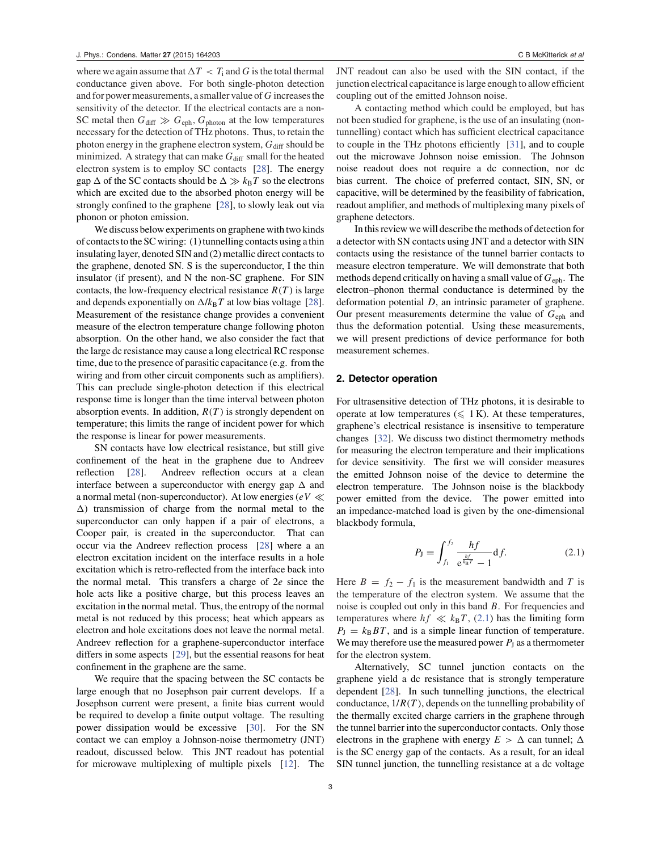where we again assume that  $\Delta T < T_i$  and G is the total thermal<br>conductance given above. For both single-photon detection conductance given above. For both single-photon detection and for power measurements, a smaller value of G increases the sensitivity of the detector. If the electrical contacts are a non-SC metal then  $G_{\text{diff}} \gg G_{\text{eph}}$ ,  $G_{\text{photon}}$  at the low temperatures necessary for the detection of THz photons. Thus, to retain the photon energy in the graphene electron system,  $G_{\text{diff}}$  should be minimized. A strategy that can make  $G<sub>diff</sub>$  small for the heated electron system is to employ SC contacts [28]. The energy  $\text{gap } \Delta$  of the SC contacts should be  $\Delta \gg k_B T$  so the electrons<br>which are excited due to the absorbed photon energy will be which are excited due to the absorbed photon energy will be strongly confined to the graphene [28], to slowly leak out via phonon or photon emission.

We discuss below experiments on graphene with two kinds of contacts to the SC wiring: (1) tunnelling contacts using a thin insulating layer, denoted SIN and (2) metallic direct contacts to the graphene, denoted SN. S is the superconductor, I the thin insulator (if present), and N the non-SC graphene. For SIN contacts, the low-frequency electrical resistance  $R(T)$  is large and depends exponentially on  $\Delta/k_B T$  at low bias voltage [28].<br>Measurement of the resistance change provides a convenient Measurement of the resistance change provides a convenient measure of the electron temperature change following photon absorption. On the other hand, we also consider the fact that the large dc resistance may cause a long electrical RC response time, due to the presence of parasitic capacitance (e.g. from the wiring and from other circuit components such as amplifiers). This can preclude single-photon detection if this electrical response time is longer than the time interval between photon absorption events. In addition,  $R(T)$  is strongly dependent on temperature; this limits the range of incident power for which the response is linear for power measurements.

SN contacts have low electrical resistance, but still give confinement of the heat in the graphene due to Andreev reflection [28]. Andreev reflection occurs at a clean interface between a superconductor with energy gap  $\Delta$  and<br>a normal metal (non-superconductor). At low energies (eV a normal metal (non-superconductor). At low energies ( $eV \ll$ superconductor can only happen if a pair of electrons, a  $(\Delta)$  transmission of charge from the normal metal to the Cooper pair, is created in the superconductor. That can occur via the Andreev reflection process [28] where a an electron excitation incident on the interface results in a hole excitation which is retro-reflected from the interface back into the normal metal. This transfers a charge of  $2e$  since the hole acts like a positive charge, but this process leaves an excitation in the normal metal. Thus, the entropy of the normal metal is not reduced by this process; heat which appears as electron and hole excitations does not leave the normal metal. Andreev reflection for a graphene-superconductor interface differs in some aspects [29], but the essential reasons for heat confinement in the graphene are the same.

We require that the spacing between the SC contacts be large enough that no Josephson pair current develops. If a Josephson current were present, a finite bias current would be required to develop a finite output voltage. The resulting power dissipation would be excessive [30]. For the SN contact we can employ a Johnson-noise thermometry (JNT) readout, discussed below. This JNT readout has potential for microwave multiplexing of multiple pixels [12]. The JNT readout can also be used with the SIN contact, if the junction electrical capacitance is large enough to allow efficient coupling out of the emitted Johnson noise.

A contacting method which could be employed, but has not been studied for graphene, is the use of an insulating (nontunnelling) contact which has sufficient electrical capacitance to couple in the THz photons efficiently [31], and to couple out the microwave Johnson noise emission. The Johnson noise readout does not require a dc connection, nor dc bias current. The choice of preferred contact, SIN, SN, or capacitive, will be determined by the feasibility of fabrication, readout amplifier, and methods of multiplexing many pixels of graphene detectors.

In this review we will describe the methods of detection for a detector with SN contacts using JNT and a detector with SIN contacts using the resistance of the tunnel barrier contacts to measure electron temperature. We will demonstrate that both methods depend critically on having a small value of  $G_{\text{eph}}$ . The electron–phonon thermal conductance is determined by the deformation potential D, an intrinsic parameter of graphene. Our present measurements determine the value of  $G_{\text{eph}}$  and thus the deformation potential. Using these measurements, we will present predictions of device performance for both measurement schemes.

### **2. Detector operation**

For ultrasensitive detection of THz photons, it is desirable to operate at low temperatures ( $\leq 1$  K). At these temperatures, graphene's electrical resistance is insensitive to temperature changes [32]. We discuss two distinct thermometry methods for measuring the electron temperature and their implications for device sensitivity. The first we will consider measures the emitted Johnson noise of the device to determine the electron temperature. The Johnson noise is the blackbody power emitted from the device. The power emitted into an impedance-matched load is given by the one-dimensional blackbody formula,

$$
P_{\mathbf{J}} = \int_{f_1}^{f_2} \frac{hf}{e^{\frac{hf}{k_{\mathbf{B}}T}} - 1} \mathbf{d}f. \tag{2.1}
$$

Here  $B = f_2 - f_1$  is the measurement bandwidth and T is the temperature of the electron system. We assume that the noise is coupled out only in this band B. For frequencies and temperatures where  $hf \ll k_B T$ , (2.1) has the limiting form  $P_J = k_B B T$ , and is a simple linear function of temperature. We may therefore use the measured power  $P_J$  as a thermometer for the electron system.

Alternatively, SC tunnel junction contacts on the graphene yield a dc resistance that is strongly temperature dependent [28]. In such tunnelling junctions, the electrical conductance,  $1/R(T)$ , depends on the tunnelling probability of the thermally excited charge carriers in the graphene through the tunnel barrier into the superconductor contacts. Only those electrons in the graphene with energy  $E > \Delta$  can tunnel;  $\Delta$ <br>is the SC energy gap of the contacts. As a result, for an ideal is the SC energy gap of the contacts. As a result, for an ideal SIN tunnel junction, the tunnelling resistance at a dc voltage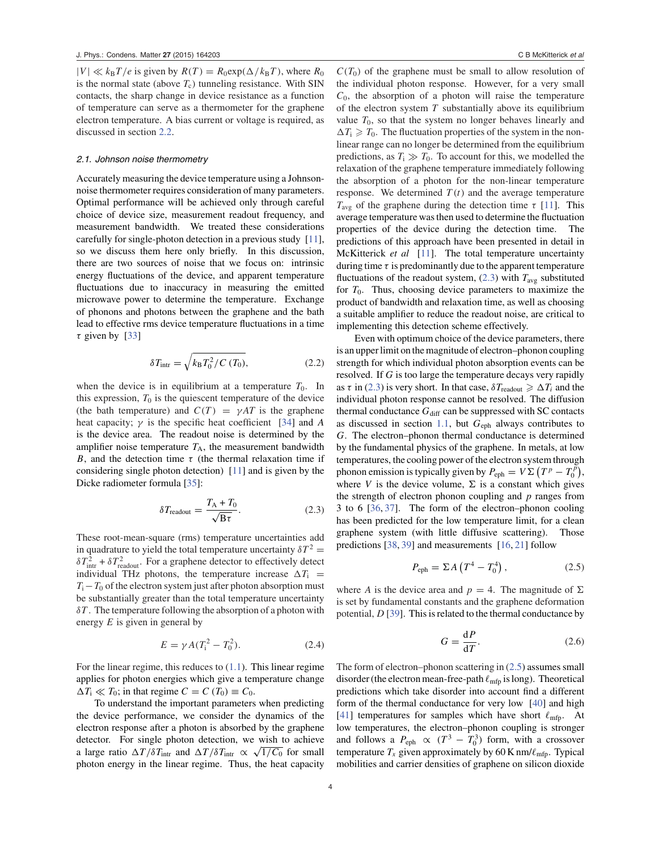$|V| \ll k_B T/e$  is given by  $R(T) = R_0 \exp(\Delta/k_B T)$ , where  $R_0$ <br>is the normal state (above T) tunneling resistance. With SIN is the normal state (above  $T_c$ ) tunneling resistance. With SIN contacts, the sharp change in device resistance as a function of temperature can serve as a thermometer for the graphene electron temperature. A bias current or voltage is required, as discussed in section 2.2.

# 2.1. Johnson noise thermometry

Accurately measuring the device temperature using a Johnsonnoise thermometer requires consideration of many parameters. Optimal performance will be achieved only through careful choice of device size, measurement readout frequency, and measurement bandwidth. We treated these considerations carefully for single-photon detection in a previous study [11], so we discuss them here only briefly. In this discussion, there are two sources of noise that we focus on: intrinsic energy fluctuations of the device, and apparent temperature fluctuations due to inaccuracy in measuring the emitted microwave power to determine the temperature. Exchange of phonons and photons between the graphene and the bath lead to effective rms device temperature fluctuations in a time  $\tau$  given by [33]

$$
\delta T_{\text{intr}} = \sqrt{k_{\text{B}} T_0^2 / C (T_0)},
$$
\n(2.2)

when the device is in equilibrium at a temperature  $T_0$ . In this expression,  $T_0$  is the quiescent temperature of the device (the bath temperature) and  $C(T) = \gamma A T$  is the graphene heat capacity;  $\gamma$  is the specific heat coefficient [34] and A is the device area. The readout noise is determined by the amplifier noise temperature  $T_A$ , the measurement bandwidth B, and the detection time  $\tau$  (the thermal relaxation time if considering single photon detection) [11] and is given by the Dicke radiometer formula [35]:

$$
\delta T_{\text{readout}} = \frac{T_{\text{A}} + T_0}{\sqrt{\text{B}\tau}}.
$$
\n(2.3)

These root-mean-square (rms) temperature uncertainties add in quadrature to yield the total temperature uncertainty  $\delta T^2$  =  $\delta T_{\text{int}}^2 + \delta T_{\text{readout}}^2$ . For a graphene detector to effectively detect individual THz photons, the temperature increase  $\Delta T =$ individual THz photons, the temperature increase  $\Delta T_1$  =  $T_1 =$  $T_i - T_0$  of the electron system just after photon absorption must<br>be substantially greater than the total temperature uncertainty be substantially greater than the total temperature uncertainty  $\delta T$ . The temperature following the absorption of a photon with energy  $E$  is given in general by

$$
E = \gamma A (T_i^2 - T_0^2). \tag{2.4}
$$

For the linear regime, this reduces to (1.1). This linear regime applies for photon energies which give a temperature change  $\Delta T_1 \ll T_0$ ; in that regime  $C = C$  ( $T_0$ )  $\equiv C_0$ .<br>To understand the important parameters

To understand the important parameters when predicting the device performance, we consider the dynamics of the electron response after a photon is absorbed by the graphene detector. For single photon detection, we wish to achieve a large ratio  $\Delta T / \delta T_{\text{intr}}$  and  $\Delta T / \delta T_{\text{intr}} \propto \sqrt{1/C_0}$  for small photon energy in the linear regime. Thus, the heat canacity photon energy in the linear regime. Thus, the heat capacity  $C(T_0)$  of the graphene must be small to allow resolution of the individual photon response. However, for a very small  $C_0$ , the absorption of a photon will raise the temperature of the electron system  $T$  substantially above its equilibrium value  $T_0$ , so that the system no longer behaves linearly and linear range can no longer be determined from the equilibrium  $\Delta T_i \geq T_0$ . The fluctuation properties of the system in the nonpredictions, as  $T_i \gg T_0$ . To account for this, we modelled the relaxation of the graphene temperature immediately following the absorption of a photon for the non-linear temperature response. We determined  $T(t)$  and the average temperature  $T_{\text{avg}}$  of the graphene during the detection time  $\tau$  [11]. This average temperature was then used to determine the fluctuation properties of the device during the detection time. The predictions of this approach have been presented in detail in McKitterick *et al* [11]. The total temperature uncertainty during time  $\tau$  is predominantly due to the apparent temperature fluctuations of the readout system,  $(2.3)$  with  $T_{\text{avg}}$  substituted for  $T_0$ . Thus, choosing device parameters to maximize the product of bandwidth and relaxation time, as well as choosing a suitable amplifier to reduce the readout noise, are critical to implementing this detection scheme effectively.

Even with optimum choice of the device parameters, there is an upper limit on the magnitude of electron–phonon coupling strength for which individual photon absorption events can be resolved. If G is too large the temperature decays very rapidly as  $\tau$  in (2.3) is very short. In that case,  $\delta T_{\text{readout}} \ge \Delta T_i$  and the individual photon response cannot be resolved. The diffusion individual photon response cannot be resolved. The diffusion thermal conductance  $G<sub>diff</sub>$  can be suppressed with SC contacts as discussed in section 1.1, but  $G_{\text{eph}}$  always contributes to G. The electron–phonon thermal conductance is determined by the fundamental physics of the graphene. In metals, at low temperatures, the cooling power of the electron system through phonon emission is typically given by  $P_{\text{eph}} = V \Sigma (T^p - T_0^p)$ ,<br>where V is the device volume  $\Sigma$  is a constant which gives where V is the device volume,  $\Sigma$  is a constant which gives the strength of electron phonon coupling and  $p$  ranges from 3 to 6 [36, 37]. The form of the electron–phonon cooling has been predicted for the low temperature limit, for a clean graphene system (with little diffusive scattering). Those predictions [38, 39] and measurements [16, 21] follow

$$
P_{\rm eph} = \Sigma A \left( T^4 - T_0^4 \right), \tag{2.5}
$$

where A is the device area and  $p = 4$ . The magnitude of  $\Sigma$ is set by fundamental constants and the graphene deformation potential, D [39]. This is related to the thermal conductance by

$$
G = \frac{\text{d}P}{\text{d}T}.\tag{2.6}
$$

The form of electron–phonon scattering in (2.5) assumes small disorder (the electron mean-free-path  $\ell_{\rm mfp}$  is long). Theoretical predictions which take disorder into account find a different form of the thermal conductance for very low [40] and high [41] temperatures for samples which have short  $\ell_{\rm mfp}$ . At low temperatures, the electron–phonon coupling is stronger and follows a  $P_{\text{eph}} \propto (T^3 - T_0^3)$  form, with a crossover<br>temperature T given approximately by 60 K nm/ $\ell_c$ . Typical temperature  $T_x$  given approximately by 60 K nm/ $\ell_{\rm mfp}$ . Typical mobilities and carrier densities of graphene on silicon dioxide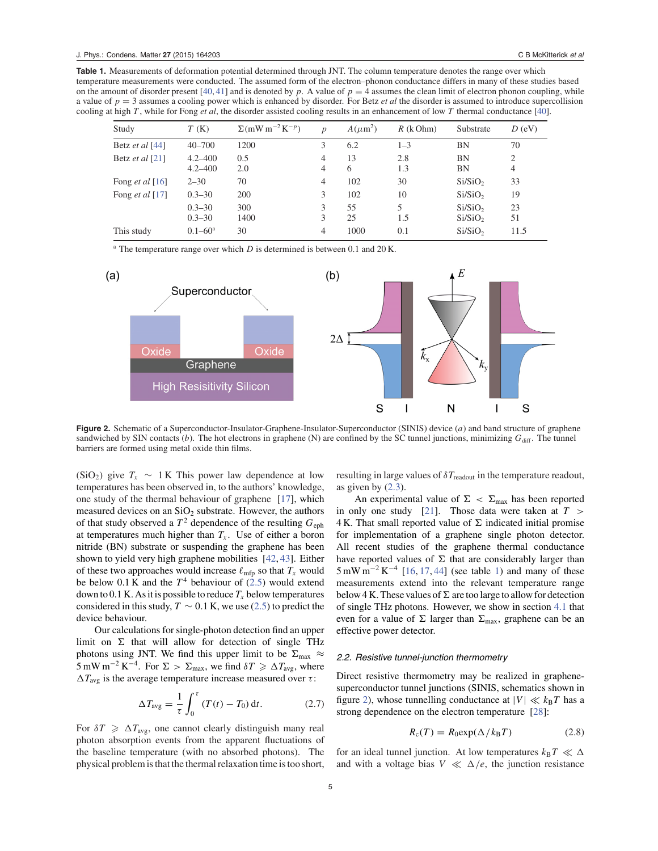**Table 1.** Measurements of deformation potential determined through JNT. The column temperature denotes the range over which temperature measurements were conducted. The assumed form of the electron–phonon conductance differs in many of these studies based on the amount of disorder present [40, 41] and is denoted by p. A value of  $p = 4$  assumes the clean limit of electron phonon coupling, while a value of p <sup>=</sup> 3 assumes a cooling power which is enhanced by disorder. For Betz *et al* the disorder is assumed to introduce supercollision cooling at high T , while for Fong *et al*, the disorder assisted cooling results in an enhancement of low T thermal conductance [40].

| Study                    | T(K)                       | $\Sigma$ (mW m <sup>-2</sup> K <sup>-p</sup> ) | $\boldsymbol{p}$ | $A(\mu m^2)$ | $R$ (k Ohm) | Substrate                                  | $D$ (eV) |
|--------------------------|----------------------------|------------------------------------------------|------------------|--------------|-------------|--------------------------------------------|----------|
| Betz et al [44]          | $40 - 700$                 | 1200                                           | 3                | 6.2          | $1 - 3$     | BN                                         | 70       |
| Betz <i>et al</i> $[21]$ | $4.2 - 400$<br>$4.2 - 400$ | 0.5<br>2.0                                     | 4<br>4           | 13<br>6      | 2.8<br>1.3  | BN<br>BN                                   | 2.<br>4  |
| Fong <i>et al</i> [16]   | $2 - 30$                   | 70                                             | 4                | 102          | 30          | Si/SiO <sub>2</sub>                        | 33       |
| Fong <i>et al</i> [17]   | $0.3 - 30$                 | 200                                            | 3                | 102          | 10          | Si/SiO <sub>2</sub>                        | 19       |
|                          | $0.3 - 30$<br>$0.3 - 30$   | 300<br>1400                                    | 3<br>3           | 55<br>25     | 5<br>1.5    | Si/SiO <sub>2</sub><br>Si/SiO <sub>2</sub> | 23<br>51 |
| This study               | $0.1 - 60$ <sup>a</sup>    | 30                                             | 4                | 1000         | 0.1         | Si/SiO <sub>2</sub>                        | 11.5     |

 $^{\text{a}}$  The temperature range over which D is determined is between 0.1 and 20 K.



**Figure 2.** Schematic of a Superconductor-Insulator-Graphene-Insulator-Superconductor (SINIS) device (a) and band structure of graphene sandwiched by SIN contacts (b). The hot electrons in graphene (N) are confined by the SC tunnel junctions, minimizing  $G_{\text{diff}}$ . The tunnel barriers are formed using metal oxide thin films.

(SiO<sub>2</sub>) give  $T_x \sim 1$  K This power law dependence at low temperatures has been observed in, to the authors' knowledge, one study of the thermal behaviour of graphene [17], which measured devices on an  $SiO<sub>2</sub>$  substrate. However, the authors of that study observed a  $T^2$  dependence of the resulting  $G_{eph}$ at temperatures much higher than  $T_x$ . Use of either a boron nitride (BN) substrate or suspending the graphene has been shown to yield very high graphene mobilities [42, 43]. Either of these two approaches would increase  $\ell_{\rm mfp}$  so that  $T_x$  would be below 0.1 K and the  $T^4$  behaviour of (2.5) would extend down to 0.1 K. As it is possible to reduce  $T_x$  below temperatures considered in this study,  $T \sim 0.1$  K, we use (2.5) to predict the device behaviour.

Our calculations for single-photon detection find an upper limit on  $\Sigma$  that will allow for detection of single THz photons using JNT. We find this upper limit to be  $\Sigma_{\text{max}} \approx$  $5 \text{ mW m}^{-2} \text{K}^{-4}$ . For  $\Sigma > \Sigma_{\text{max}}$ , we find  $\delta T \ge \Delta T_{\text{avg}}$ , where  $\Delta T$  is the average temperature increase measured over  $\tau$ .  $\Delta T_{\text{avg}}$  is the average temperature increase measured over  $\tau$ :

$$
\Delta T_{\text{avg}} = \frac{1}{\tau} \int_0^{\tau} (T(t) - T_0) dt. \tag{2.7}
$$

For  $\delta T \geq \Delta T_{\text{avg}}$ , one cannot clearly distinguish many real<br>photon absorption events from the apparent fluctuations of photon absorption events from the apparent fluctuations of the baseline temperature (with no absorbed photons). The physical problem is that the thermal relaxation time is too short, resulting in large values of  $\delta T_{\text{readout}}$  in the temperature readout, as given by  $(2.3)$ .

An experimental value of  $\Sigma < \Sigma_{\text{max}}$  has been reported in only one study [21]. Those data were taken at  $T >$ 4 K. That small reported value of  $\Sigma$  indicated initial promise for implementation of a graphene single photon detector. All recent studies of the graphene thermal conductance have reported values of  $\Sigma$  that are considerably larger than  $5 \text{ mW m}^{-2} \text{ K}^{-4}$  [16, 17, 44] (see table 1) and many of these measurements extend into the relevant temperature range below 4 K. These values of  $\Sigma$  are too large to allow for detection of single THz photons. However, we show in section 4.1 that even for a value of  $\Sigma$  larger than  $\Sigma_{\text{max}}$ , graphene can be an effective power detector.

#### 2.2. Resistive tunnel-junction thermometry

Direct resistive thermometry may be realized in graphenesuperconductor tunnel junctions (SINIS, schematics shown in figure 2), whose tunnelling conductance at  $|V| \ll k_B T$  has a strong dependence on the electron temperature [28]:

$$
R_{\rm c}(T) = R_0 \exp(\Delta / k_{\rm B} T) \tag{2.8}
$$

for an ideal tunnel junction. At low temperatures  $k_B T \ll \Delta$ <br>and with a voltage bias  $V \ll \Delta/e$  the junction resistance and with a voltage bias  $V \ll \Delta/e$ , the junction resistance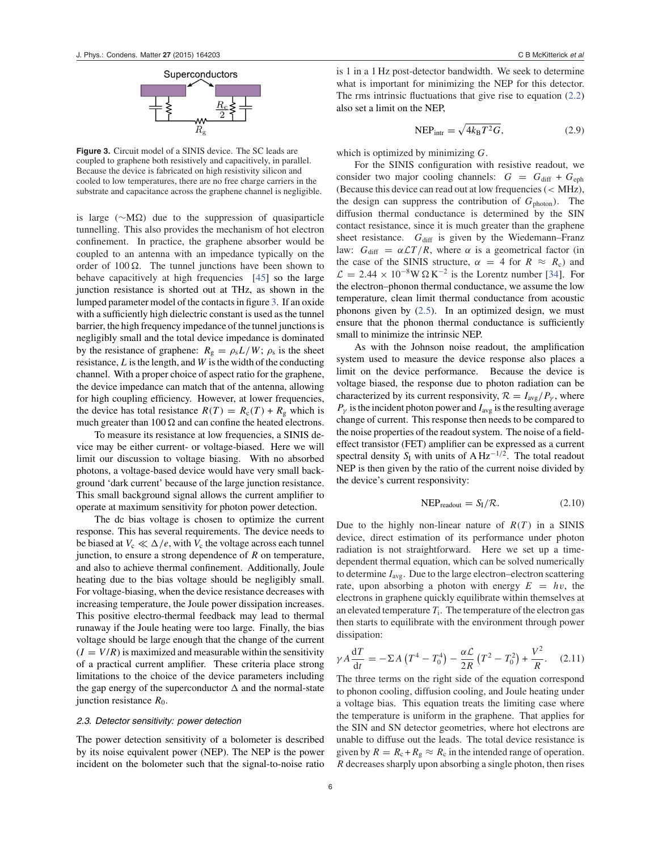

**Figure 3.** Circuit model of a SINIS device. The SC leads are coupled to graphene both resistively and capacitively, in parallel. Because the device is fabricated on high resistivity silicon and cooled to low temperatures, there are no free charge carriers in the substrate and capacitance across the graphene channel is negligible.

is large ( $~\sim$ M $\Omega$ ) due to the suppression of quasiparticle tunnelling. This also provides the mechanism of hot electron confinement. In practice, the graphene absorber would be coupled to an antenna with an impedance typically on the order of  $100 \Omega$ . The tunnel junctions have been shown to behave capacitively at high frequencies [45] so the large junction resistance is shorted out at THz, as shown in the lumped parameter model of the contacts in figure 3. If an oxide with a sufficiently high dielectric constant is used as the tunnel barrier, the high frequency impedance of the tunnel junctions is negligibly small and the total device impedance is dominated by the resistance of graphene:  $R_g = \rho_s L/W$ ;  $\rho_s$  is the sheet resistance,  $L$  is the length, and  $W$  is the width of the conducting channel. With a proper choice of aspect ratio for the graphene, the device impedance can match that of the antenna, allowing for high coupling efficiency. However, at lower frequencies, the device has total resistance  $R(T) = R_c(T) + R_g$  which is much greater than  $100 \Omega$  and can confine the heated electrons.

To measure its resistance at low frequencies, a SINIS device may be either current- or voltage-biased. Here we will limit our discussion to voltage biasing. With no absorbed photons, a voltage-based device would have very small background 'dark current' because of the large junction resistance. This small background signal allows the current amplifier to operate at maximum sensitivity for photon power detection.

The dc bias voltage is chosen to optimize the current response. This has several requirements. The device needs to be biased at  $V_c \ll \Delta/e$ , with  $V_c$  the voltage across each tunnel<br>junction, to ensure a strong dependence of R on temperature junction, to ensure a strong dependence of  $R$  on temperature, and also to achieve thermal confinement. Additionally, Joule heating due to the bias voltage should be negligibly small. For voltage-biasing, when the device resistance decreases with increasing temperature, the Joule power dissipation increases. This positive electro-thermal feedback may lead to thermal runaway if the Joule heating were too large. Finally, the bias voltage should be large enough that the change of the current  $(I = V/R)$  is maximized and measurable within the sensitivity of a practical current amplifier. These criteria place strong limitations to the choice of the device parameters including the gap energy of the superconductor  $\Delta$  and the normal-state<br>innerion resistance  $R_0$ junction resistance  $R_0$ .

# 2.3. Detector sensitivity: power detection

The power detection sensitivity of a bolometer is described by its noise equivalent power (NEP). The NEP is the power incident on the bolometer such that the signal-to-noise ratio is 1 in a 1 Hz post-detector bandwidth. We seek to determine what is important for minimizing the NEP for this detector. The rms intrinsic fluctuations that give rise to equation (2.2) also set a limit on the NEP,

$$
NEP_{\text{intr}} = \sqrt{4k_B T^2 G},\tag{2.9}
$$

which is optimized by minimizing G.

For the SINIS configuration with resistive readout, we consider two major cooling channels:  $G = G_{diff} + G_{eph}$ (Because this device can read out at low frequencies(< MHz), the design can suppress the contribution of  $G<sub>photon</sub>$ ). The diffusion thermal conductance is determined by the SIN contact resistance, since it is much greater than the graphene sheet resistance.  $G_{\text{diff}}$  is given by the Wiedemann–Franz law:  $G_{\text{diff}} = \alpha \mathcal{L}T/R$ , where  $\alpha$  is a geometrical factor (in the case of the SINIS structure,  $\alpha = 4$  for  $R \approx R_c$ ) and  $\mathcal{L} = 2.44 \times 10^{-8} \text{W} \Omega \text{K}^{-2}$  is the Lorentz number [34]. For the electron–phonon thermal conductance, we assume the low temperature, clean limit thermal conductance from acoustic phonons given by  $(2.5)$ . In an optimized design, we must ensure that the phonon thermal conductance is sufficiently small to minimize the intrinsic NEP.

As with the Johnson noise readout, the amplification system used to measure the device response also places a limit on the device performance. Because the device is voltage biased, the response due to photon radiation can be characterized by its current responsivity,  $\mathcal{R} = I_{\text{avg}}/P_{\gamma}$ , where  $P_{\gamma}$  is the incident photon power and  $I_{\text{avg}}$  is the resulting average change of current. This response then needs to be compared to the noise properties of the readout system. The noise of a fieldeffect transistor (FET) amplifier can be expressed as a current spectral density  $S_I$  with units of A Hz<sup>-1/2</sup>. The total readout NEP is then given by the ratio of the current noise divided by the device's current responsivity:

$$
NEP_{\text{readout}} = S_{\text{I}} / \mathcal{R}. \tag{2.10}
$$

Due to the highly non-linear nature of  $R(T)$  in a SINIS device, direct estimation of its performance under photon radiation is not straightforward. Here we set up a timedependent thermal equation, which can be solved numerically to determine  $I_{\text{avg}}$ . Due to the large electron–electron scattering rate, upon absorbing a photon with energy  $E = hv$ , the electrons in graphene quickly equilibrate within themselves at an elevated temperature  $T_i$ . The temperature of the electron gas then starts to equilibrate with the environment through power dissipation:

$$
\gamma A \frac{dT}{dt} = -\Sigma A (T^4 - T_0^4) - \frac{\alpha \mathcal{L}}{2R} (T^2 - T_0^2) + \frac{V^2}{R}.
$$
 (2.11)  
The three terms on the right side of the equation correspond

to phonon cooling, diffusion cooling, and Joule heating under a voltage bias. This equation treats the limiting case where the temperature is uniform in the graphene. That applies for the SIN and SN detector geometries, where hot electrons are unable to diffuse out the leads. The total device resistance is given by  $R = R_c + R_g \approx R_c$  in the intended range of operation. R decreases sharply upon absorbing a single photon, then rises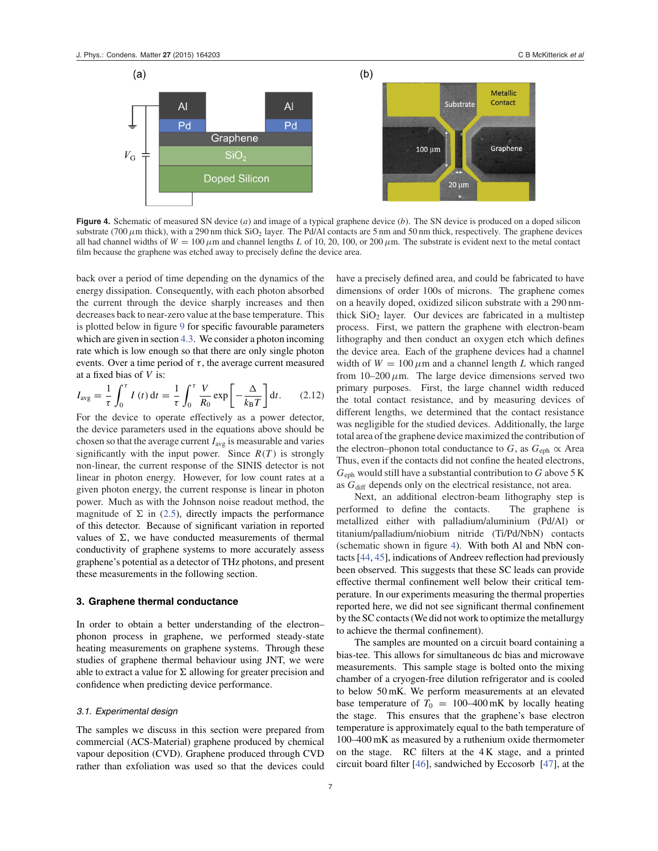

**Figure 4.** Schematic of measured SN device (a) and image of a typical graphene device (b). The SN device is produced on a doped silicon substrate (700  $\mu$ m thick), with a 290 nm thick SiO<sub>2</sub> layer. The Pd/Al contacts are 5 nm and 50 nm thick, respectively. The graphene devices all had channel widths of  $W = 100 \mu m$  and channel lengths L of 10, 20, 100, or 200  $\mu$ m. The substrate is evident next to the metal contact film because the graphene was etched away to precisely define the device area.

back over a period of time depending on the dynamics of the energy dissipation. Consequently, with each photon absorbed the current through the device sharply increases and then decreases back to near-zero value at the base temperature. This is plotted below in figure 9 for specific favourable parameters which are given in section 4.3. We consider a photon incoming rate which is low enough so that there are only single photon events. Over a time period of  $\tau$ , the average current measured at a fixed bias of V is:

$$
I_{\text{avg}} = \frac{1}{\tau} \int_0^{\tau} I(t) dt = \frac{1}{\tau} \int_0^{\tau} \frac{V}{R_0} \exp\left[-\frac{\Delta}{k_{\text{B}}T}\right] dt. \quad (2.12)
$$
  
For the device to operate effectively as a power detector,

the device parameters used in the equations above should be chosen so that the average current  $I_{\text{avg}}$  is measurable and varies significantly with the input power. Since  $R(T)$  is strongly non-linear, the current response of the SINIS detector is not linear in photon energy. However, for low count rates at a given photon energy, the current response is linear in photon power. Much as with the Johnson noise readout method, the magnitude of  $\Sigma$  in (2.5), directly impacts the performance of this detector. Because of significant variation in reported values of  $\Sigma$ , we have conducted measurements of thermal conductivity of graphene systems to more accurately assess graphene's potential as a detector of THz photons, and present these measurements in the following section.

# **3. Graphene thermal conductance**

In order to obtain a better understanding of the electron– phonon process in graphene, we performed steady-state heating measurements on graphene systems. Through these studies of graphene thermal behaviour using JNT, we were able to extract a value for  $\Sigma$  allowing for greater precision and confidence when predicting device performance.

#### 3.1. Experimental design

The samples we discuss in this section were prepared from commercial (ACS-Material) graphene produced by chemical vapour deposition (CVD). Graphene produced through CVD rather than exfoliation was used so that the devices could have a precisely defined area, and could be fabricated to have dimensions of order 100s of microns. The graphene comes on a heavily doped, oxidized silicon substrate with a 290 nmthick  $SiO<sub>2</sub>$  layer. Our devices are fabricated in a multistep process. First, we pattern the graphene with electron-beam lithography and then conduct an oxygen etch which defines the device area. Each of the graphene devices had a channel width of  $W = 100 \mu m$  and a channel length L which ranged from  $10-200 \mu$ m. The large device dimensions served two primary purposes. First, the large channel width reduced the total contact resistance, and by measuring devices of different lengths, we determined that the contact resistance was negligible for the studied devices. Additionally, the large total area of the graphene device maximized the contribution of the electron–phonon total conductance to G, as  $G_{eph} \propto$  Area Thus, even if the contacts did not confine the heated electrons,  $G<sub>eph</sub>$  would still have a substantial contribution to G above 5 K as  $G<sub>diff</sub>$  depends only on the electrical resistance, not area.

Next, an additional electron-beam lithography step is performed to define the contacts. The graphene is metallized either with palladium/aluminium (Pd/Al) or titanium/palladium/niobium nitride (Ti/Pd/NbN) contacts (schematic shown in figure 4). With both Al and NbN contacts [44, 45], indications of Andreev reflection had previously been observed. This suggests that these SC leads can provide effective thermal confinement well below their critical temperature. In our experiments measuring the thermal properties reported here, we did not see significant thermal confinement by the SC contacts (We did not work to optimize the metallurgy to achieve the thermal confinement).

The samples are mounted on a circuit board containing a bias-tee. This allows for simultaneous dc bias and microwave measurements. This sample stage is bolted onto the mixing chamber of a cryogen-free dilution refrigerator and is cooled to below 50 mK. We perform measurements at an elevated base temperature of  $T_0 = 100-400$  mK by locally heating the stage. This ensures that the graphene's base electron temperature is approximately equal to the bath temperature of 100–400 mK as measured by a ruthenium oxide thermometer on the stage. RC filters at the 4 K stage, and a printed circuit board filter [46], sandwiched by Eccosorb [47], at the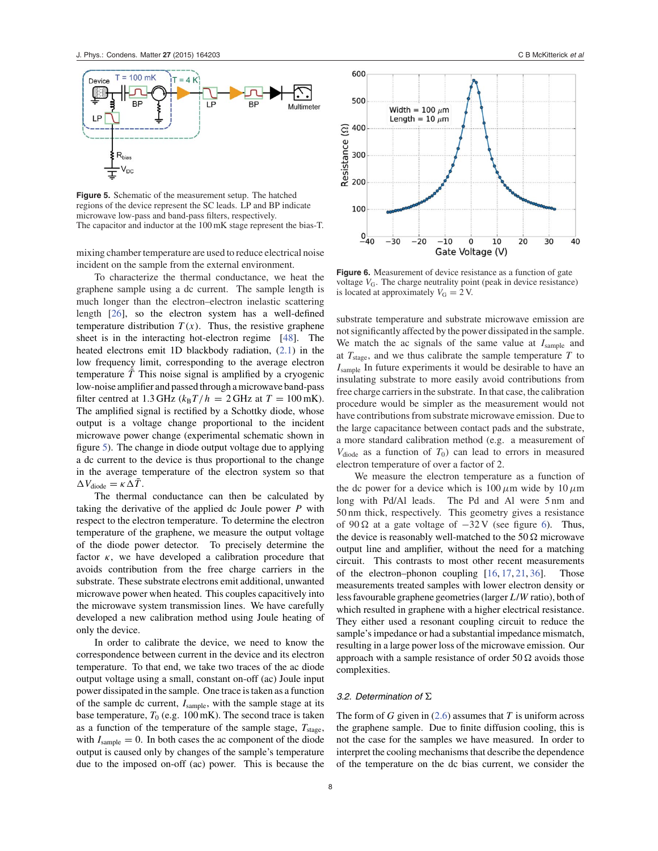

**Figure 5.** Schematic of the measurement setup. The hatched regions of the device represent the SC leads. LP and BP indicate microwave low-pass and band-pass filters, respectively. The capacitor and inductor at the 100 mK stage represent the bias-T.

mixing chamber temperature are used to reduce electrical noise incident on the sample from the external environment.

To characterize the thermal conductance, we heat the graphene sample using a dc current. The sample length is much longer than the electron–electron inelastic scattering length [26], so the electron system has a well-defined temperature distribution  $T(x)$ . Thus, the resistive graphene sheet is in the interacting hot-electron regime [48]. The heated electrons emit 1D blackbody radiation, (2.1) in the low frequency limit, corresponding to the average electron temperature  $T$  This noise signal is amplified by a cryogenic low-noise amplifier and passed through a microwave band-pass filter centred at 1.3 GHz ( $k_B T/h = 2$  GHz at  $T = 100$  mK). The amplified signal is rectified by a Schottky diode, whose output is a voltage change proportional to the incident microwave power change (experimental schematic shown in figure 5). The change in diode output voltage due to applying a dc current to the device is thus proportional to the change in the average temperature of the electron system so that  $\Delta V_{\text{diode}} = \kappa \Delta T.$ <br>The therma

The thermal conductance can then be calculated by taking the derivative of the applied dc Joule power  $P$  with respect to the electron temperature. To determine the electron temperature of the graphene, we measure the output voltage of the diode power detector. To precisely determine the factor  $\kappa$ , we have developed a calibration procedure that avoids contribution from the free charge carriers in the substrate. These substrate electrons emit additional, unwanted microwave power when heated. This couples capacitively into the microwave system transmission lines. We have carefully developed a new calibration method using Joule heating of only the device.

In order to calibrate the device, we need to know the correspondence between current in the device and its electron temperature. To that end, we take two traces of the ac diode output voltage using a small, constant on-off (ac) Joule input power dissipated in the sample. One trace is taken as a function of the sample dc current,  $I_{\text{sample}}$ , with the sample stage at its base temperature,  $T_0$  (e.g. 100 mK). The second trace is taken as a function of the temperature of the sample stage,  $T_{\text{stage}}$ , with  $I_{\text{sample}} = 0$ . In both cases the ac component of the diode output is caused only by changes of the sample's temperature due to the imposed on-off (ac) power. This is because the



**Figure 6.** Measurement of device resistance as a function of gate voltage  $V_G$ . The charge neutrality point (peak in device resistance) is located at approximately  $V_G = 2$  V.

substrate temperature and substrate microwave emission are not significantly affected by the power dissipated in the sample. We match the ac signals of the same value at  $I_{\text{sample}}$  and at  $T_{\text{stage}}$ , and we thus calibrate the sample temperature  $T$  to  $I_{\text{sample}}$  In future experiments it would be desirable to have an insulating substrate to more easily avoid contributions from free charge carriers in the substrate. In that case, the calibration procedure would be simpler as the measurement would not have contributions from substrate microwave emission. Due to the large capacitance between contact pads and the substrate, a more standard calibration method (e.g. a measurement of  $V_{\rm diode}$  as a function of  $T_0$ ) can lead to errors in measured electron temperature of over a factor of 2.

We measure the electron temperature as a function of the dc power for a device which is  $100 \mu m$  wide by  $10 \mu m$ long with Pd/Al leads. The Pd and Al were 5 nm and 50 nm thick, respectively. This geometry gives a resistance of 90  $\Omega$  at a gate voltage of  $-32$  V (see figure 6). Thus, the device is reasonably well-matched to the 50  $\Omega$  microwave output line and amplifier, without the need for a matching circuit. This contrasts to most other recent measurements of the electron–phonon coupling  $[16, 17, 21, 36]$ . Those measurements treated samples with lower electron density or less favourable graphene geometries (larger  $L/W$  ratio), both of which resulted in graphene with a higher electrical resistance. They either used a resonant coupling circuit to reduce the sample's impedance or had a substantial impedance mismatch, resulting in a large power loss of the microwave emission. Our approach with a sample resistance of order 50  $\Omega$  avoids those complexities.

## 3.2. Determination of  $\Sigma$

The form of  $G$  given in (2.6) assumes that  $T$  is uniform across the graphene sample. Due to finite diffusion cooling, this is not the case for the samples we have measured. In order to interpret the cooling mechanisms that describe the dependence of the temperature on the dc bias current, we consider the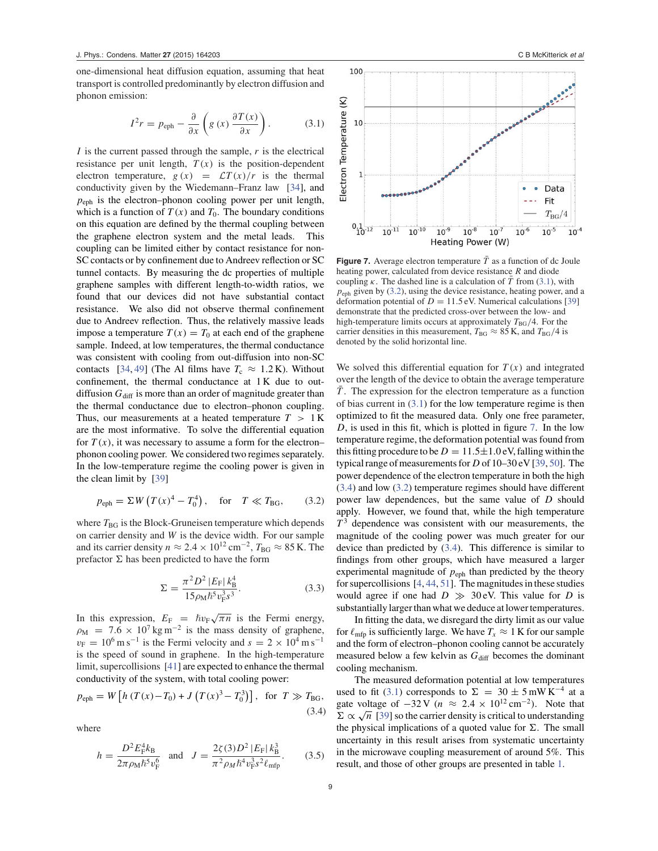one-dimensional heat diffusion equation, assuming that heat transport is controlled predominantly by electron diffusion and phonon emission:

$$
I^{2}r = p_{\text{eph}} - \frac{\partial}{\partial x} \left( g \left( x \right) \frac{\partial T(x)}{\partial x} \right). \tag{3.1}
$$

 $I$  is the current passed through the sample,  $r$  is the electrical resistance per unit length,  $T(x)$  is the position-dependent electron temperature,  $g(x) = \mathcal{L}T(x)/r$  is the thermal conductivity given by the Wiedemann–Franz law [34], and  $p_{eph}$  is the electron–phonon cooling power per unit length, which is a function of  $T(x)$  and  $T_0$ . The boundary conditions on this equation are defined by the thermal coupling between the graphene electron system and the metal leads. This coupling can be limited either by contact resistance for non-SC contacts or by confinement due to Andreev reflection or SC tunnel contacts. By measuring the dc properties of multiple graphene samples with different length-to-width ratios, we found that our devices did not have substantial contact resistance. We also did not observe thermal confinement due to Andreev reflection. Thus, the relatively massive leads impose a temperature  $T(x) = T_0$  at each end of the graphene sample. Indeed, at low temperatures, the thermal conductance was consistent with cooling from out-diffusion into non-SC contacts [34, 49] (The Al films have  $T_c \approx 1.2 \text{ K}$ ). Without confinement, the thermal conductance at 1 K due to outdiffusion  $G_{\text{diff}}$  is more than an order of magnitude greater than the thermal conductance due to electron–phonon coupling. Thus, our measurements at a heated temperature  $T > 1$  K are the most informative. To solve the differential equation for  $T(x)$ , it was necessary to assume a form for the electron– phonon cooling power. We considered two regimes separately. In the low-temperature regime the cooling power is given in the clean limit by [39]

$$
p_{\text{eph}} = \Sigma W (T(x)^4 - T_0^4), \text{ for } T \ll T_{\text{BG}},
$$
 (3.2)

where  $T_{BG}$  is the Block-Gruneisen temperature which depends on carrier density and W is the device width. For our sample and its carrier density  $n \approx 2.4 \times 10^{12}$  cm<sup>-2</sup>,  $T_{BG} \approx 85$  K. The prefactor  $\Sigma$  has been predicted to have the form

$$
\Sigma = \frac{\pi^2 D^2 |E_{\rm F}| k_{\rm B}^4}{15 \rho_{\rm M} \hbar^5 v_{\rm F}^3 s^3}.
$$
 (3.3)

In this expression,  $E_F = \hbar v_F \sqrt{\pi n}$  is the Fermi energy,<br> $\omega_L = 7.6 \times 10^7 \text{ km}^{-2}$  is the mass density of graphene in this expression,  $E_F = nv_F \sqrt{\pi n}$  is the Fermi energy,<br> $\rho_M = 7.6 \times 10^7 \text{ kg m}^{-2}$  is the mass density of graphene,<br> $v_B = 10^6 \text{ m s}^{-1}$  is the Fermi velocity and  $s = 2 \times 10^4 \text{ m s}^{-1}$  $v_F = 10^6 \,\mathrm{m\,s^{-1}}$  is the Fermi velocity and  $s = 2 \times 10^4 \,\mathrm{m\,s^{-1}}$ is the speed of sound in graphene. In the high-temperature limit, supercollisions [41] are expected to enhance the thermal conductivity of the system, with total cooling power:

$$
p_{\rm eph} = W \left[ h \left( T(x) - T_0 \right) + J \left( T(x)^3 - T_0^3 \right) \right], \text{ for } T \gg T_{\rm BG},
$$
\n(3.4)

where

$$
h = \frac{D^2 E_{\rm F}^4 k_{\rm B}}{2\pi \rho_{\rm M} \hbar^5 v_{\rm F}^6} \quad \text{and} \quad J = \frac{2\zeta(3)D^2 |E_{\rm F}| k_{\rm B}^3}{\pi^2 \rho_{\rm M} \hbar^4 v_{\rm F}^3 s^2 \ell_{\rm mfp}}.\tag{3.5}
$$



**Figure 7.** Average electron temperature  $\overline{T}$  as a function of dc Joule heating power, calculated from device resistance R and diode coupling  $\kappa$ . The dashed line is a calculation of  $\overline{T}$  from (3.1), with  $p<sub>eph</sub>$  given by (3.2), using the device resistance, heating power, and a deformation potential of  $D = 11.5$  eV. Numerical calculations [39] demonstrate that the predicted cross-over between the low- and high-temperature limits occurs at approximately  $T_{BG}/4$ . For the carrier densities in this measurement,  $T_{BG} \approx 85$  K, and  $T_{BG}/4$  is denoted by the solid horizontal line.

We solved this differential equation for  $T(x)$  and integrated over the length of the device to obtain the average temperature  $T<sub>1</sub>$ . The expression for the electron temperature as a function of bias current in (3.1) for the low temperature regime is then optimized to fit the measured data. Only one free parameter, D, is used in this fit, which is plotted in figure 7. In the low temperature regime, the deformation potential was found from this fitting procedure to be  $D = 11.5 \pm 1.0$  eV, falling within the typical range of measurements for  $D$  of 10–30 eV [39, 50]. The power dependence of the electron temperature in both the high (3.4) and low (3.2) temperature regimes should have different power law dependences, but the same value of D should apply. However, we found that, while the high temperature  $T<sup>3</sup>$  dependence was consistent with our measurements, the magnitude of the cooling power was much greater for our device than predicted by (3.4). This difference is similar to findings from other groups, which have measured a larger experimental magnitude of  $p_{\text{eph}}$  than predicted by the theory for supercollisions [4, 44, 51]. The magnitudes in these studies would agree if one had  $D \gg 30 \text{ eV}$ . This value for D is substantially larger than what we deduce at lower temperatures.

In fitting the data, we disregard the dirty limit as our value for  $\ell_{\rm mfp}$  is sufficiently large. We have  $T_x \approx 1$  K for our sample and the form of electron–phonon cooling cannot be accurately measured below a few kelvin as  $G<sub>diff</sub>$  becomes the dominant cooling mechanism.

The measured deformation potential at low temperatures used to fit (3.1) corresponds to  $\Sigma = 30 \pm 5$  mW K<sup>-4</sup> at a gate voltage of  $-32\,\mathrm{V}$  ( $n \approx 2.4 \times 10^{12}\,\mathrm{cm}^{-2}$ ). Note that  $\Sigma \propto \sqrt{n}$  [39] so the carrier density is critical to understanding the physical implications of a quoted value for  $\Sigma$ . The small uncertainty in this result arises from systematic uncertainty in the microwave coupling measurement of around 5%. This result, and those of other groups are presented in table 1.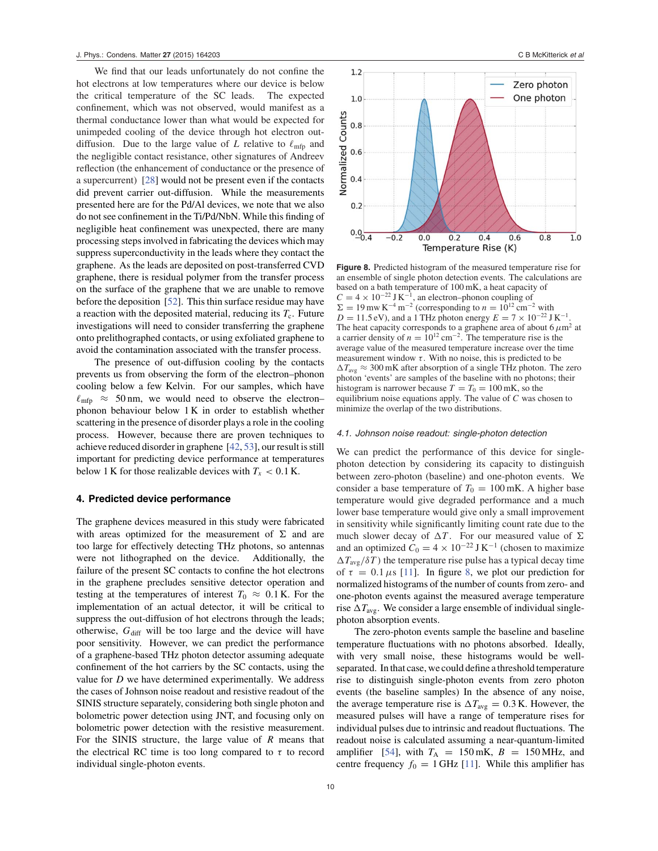We find that our leads unfortunately do not confine the hot electrons at low temperatures where our device is below the critical temperature of the SC leads. The expected confinement, which was not observed, would manifest as a thermal conductance lower than what would be expected for unimpeded cooling of the device through hot electron outdiffusion. Due to the large value of L relative to  $\ell_{\rm mfp}$  and the negligible contact resistance, other signatures of Andreev reflection (the enhancement of conductance or the presence of a supercurrent) [28] would not be present even if the contacts did prevent carrier out-diffusion. While the measurements presented here are for the Pd/Al devices, we note that we also do not see confinement in the Ti/Pd/NbN. While this finding of negligible heat confinement was unexpected, there are many processing steps involved in fabricating the devices which may suppress superconductivity in the leads where they contact the graphene. As the leads are deposited on post-transferred CVD graphene, there is residual polymer from the transfer process on the surface of the graphene that we are unable to remove before the deposition [52]. This thin surface residue may have a reaction with the deposited material, reducing its  $T_c$ . Future investigations will need to consider transferring the graphene onto prelithographed contacts, or using exfoliated graphene to avoid the contamination associated with the transfer process.

The presence of out-diffusion cooling by the contacts prevents us from observing the form of the electron–phonon cooling below a few Kelvin. For our samples, which have  $\ell_{\rm mfp} \approx 50$  nm, we would need to observe the electron– phonon behaviour below 1 K in order to establish whether scattering in the presence of disorder plays a role in the cooling process. However, because there are proven techniques to achieve reduced disorder in graphene [42, 53], our result is still important for predicting device performance at temperatures below 1 K for those realizable devices with  $T_x < 0.1$  K.

# **4. Predicted device performance**

The graphene devices measured in this study were fabricated with areas optimized for the measurement of  $\Sigma$  and are too large for effectively detecting THz photons, so antennas were not lithographed on the device. Additionally, the failure of the present SC contacts to confine the hot electrons in the graphene precludes sensitive detector operation and testing at the temperatures of interest  $T_0 \approx 0.1$  K. For the implementation of an actual detector, it will be critical to suppress the out-diffusion of hot electrons through the leads; otherwise,  $G<sub>diff</sub>$  will be too large and the device will have poor sensitivity. However, we can predict the performance of a graphene-based THz photon detector assuming adequate confinement of the hot carriers by the SC contacts, using the value for  $D$  we have determined experimentally. We address the cases of Johnson noise readout and resistive readout of the SINIS structure separately, considering both single photon and bolometric power detection using JNT, and focusing only on bolometric power detection with the resistive measurement. For the SINIS structure, the large value of  $R$  means that the electrical RC time is too long compared to  $\tau$  to record individual single-photon events.



**Figure 8.** Predicted histogram of the measured temperature rise for an ensemble of single photon detection events. The calculations are based on a bath temperature of 100 mK, a heat capacity of  $C = 4 \times 10^{-22}$  J K<sup>-1</sup>, an electron–phonon coupling of<br>  $\Sigma = 19$  mw K<sup>-4</sup> m<sup>-2</sup> (corresponding to  $n = 10^{12}$  cm<sup>-2</sup>  $\Sigma = 19$  mw K<sup>-4</sup> m<sup>-2</sup> (corresponding to  $n = 10^{12}$  cm<sup>-2</sup> with  $D = 11.5$  eV) and a 1 THz photon energy  $E = 7 \times 10^{-22}$  J  $D = 11.5$  eV), and a 1 THz photon energy  $E = 7 \times 10^{-22}$  J K<sup>-1</sup>. The heat capacity corresponds to a graphene area of about  $6 \mu m^2$  at a carrier density of  $n = 10^{12}$  cm<sup>-2</sup>. The temperature rise is the average value of the measured temperature increase over the time measurement window  $\tau$ . With no noise, this is predicted to be -photon 'events' are samples of the baseline with no photons; their  $\Delta T_{\text{avg}} \approx 300 \text{ mK}$  after absorption of a single THz photon. The zero histogram is narrower because  $T = T_0 = 100$  mK, so the equilibrium noise equations apply. The value of  $C$  was chosen to minimize the overlap of the two distributions.

#### 4.1. Johnson noise readout: single-photon detection

We can predict the performance of this device for singlephoton detection by considering its capacity to distinguish between zero-photon (baseline) and one-photon events. We consider a base temperature of  $T_0 = 100$  mK. A higher base temperature would give degraded performance and a much lower base temperature would give only a small improvement in sensitivity while significantly limiting count rate due to the much slower decay of  $\Delta T$ . For our measured value of  $\Sigma$ <br>and an optimized  $C_8 = 4 \times 10^{-22}$  LK<sup>-1</sup> (chosen to maximize and an optimized  $C_0 = 4 \times 10^{-22}$  J K<sup>-1</sup> (chosen to maximize of  $\tau = 0.1 \mu s$  [11]. In figure 8, we plot our prediction for<br>normalized histograms of the number of counts from zero- and  $\Delta T_{\text{avg}}/\delta T$ ) the temperature rise pulse has a typical decay time normalized histograms of the number of counts from zero- and one-photon events against the measured average temperature rise  $\Delta T_{\text{avg}}$ . We consider a large ensemble of individual single-<br>photon absorption events photon absorption events.

The zero-photon events sample the baseline and baseline temperature fluctuations with no photons absorbed. Ideally, with very small noise, these histograms would be wellseparated. In that case, we could define a threshold temperature rise to distinguish single-photon events from zero photon events (the baseline samples) In the absence of any noise, the average temperature rise is  $\Delta T_{\text{avg}} = 0.3 \text{ K}$ . However, the measured pulses will have a range of temperature rises for measured pulses will have a range of temperature rises for individual pulses due to intrinsic and readout fluctuations. The readout noise is calculated assuming a near-quantum-limited amplifier [54], with  $T_A = 150$  mK,  $B = 150$  MHz, and centre frequency  $f_0 = 1$  GHz [11]. While this amplifier has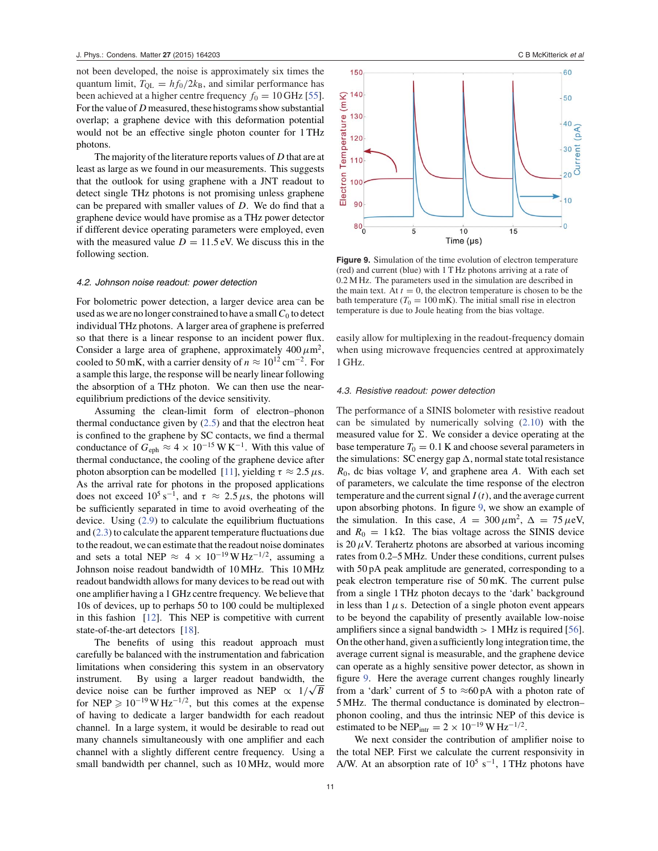not been developed, the noise is approximately six times the quantum limit,  $T_{OL} = hf_0/2k_B$ , and similar performance has been achieved at a higher centre frequency  $f_0 = 10$  GHz [55]. For the value of  $D$  measured, these histograms show substantial overlap; a graphene device with this deformation potential would not be an effective single photon counter for 1 THz photons.

The majority of the literature reports values of  $D$  that are at least as large as we found in our measurements. This suggests that the outlook for using graphene with a JNT readout to detect single THz photons is not promising unless graphene can be prepared with smaller values of D. We do find that a graphene device would have promise as a THz power detector if different device operating parameters were employed, even with the measured value  $D = 11.5$  eV. We discuss this in the following section.

## 4.2. Johnson noise readout: power detection

For bolometric power detection, a larger device area can be used as we are no longer constrained to have a small  $C_0$  to detect individual THz photons. A larger area of graphene is preferred so that there is a linear response to an incident power flux. Consider a large area of graphene, approximately  $400 \mu m^2$ , cooled to 50 mK, with a carrier density of  $n \approx 10^{12}$  cm<sup>-2</sup>. For a sample this large, the response will be nearly linear following the absorption of a THz photon. We can then use the nearequilibrium predictions of the device sensitivity.

Assuming the clean-limit form of electron–phonon thermal conductance given by  $(2.5)$  and that the electron heat is confined to the graphene by SC contacts, we find a thermal conductance of  $G_{\text{eph}} \approx 4 \times 10^{-15} \text{ W K}^{-1}$ . With this value of thermal conductance, the cooling of the graphene device after photon absorption can be modelled [11], yielding  $\tau \approx 2.5 \,\mu s$ . As the arrival rate for photons in the proposed applications does not exceed  $10^5$  s<sup>-1</sup>, and  $\tau \approx 2.5 \,\mu s$ , the photons will be sufficiently separated in time to avoid overheating of the device. Using (2.9) to calculate the equilibrium fluctuations and (2.3) to calculate the apparent temperature fluctuations due to the readout, we can estimate that the readout noise dominates and sets a total NEP  $\approx$  4 × 10<sup>-19</sup> W Hz<sup>-1/2</sup>, assuming a Johnson noise readout bandwidth of 10 MHz. This 10 MHz readout bandwidth allows for many devices to be read out with one amplifier having a 1 GHz centre frequency. We believe that 10s of devices, up to perhaps 50 to 100 could be multiplexed in this fashion [12]. This NEP is competitive with current state-of-the-art detectors [18].

The benefits of using this readout approach must carefully be balanced with the instrumentation and fabrication limitations when considering this system in an observatory instrument. By using a larger readout bandwidth, the device noise can be further improved as NEP  $\alpha$  1/ $\sqrt{\pi}$  NEP > 10<sup>-19</sup> W Hz<sup>-1/2</sup> but this comes at the expenfor NEP  $\geq 10^{-19}$  W Hz<sup>-1/2</sup>, but this comes at the expense of having to dedicate a larger bandwidth for each readout channel. In a large system, it would be desirable to read out many channels simultaneously with one amplifier and each channel with a slightly different centre frequency. Using a small bandwidth per channel, such as 10 MHz, would more





**Figure 9.** Simulation of the time evolution of electron temperature (red) and current (blue) with 1 T Hz photons arriving at a rate of 0.2 M Hz. The parameters used in the simulation are described in the main text. At  $t = 0$ , the electron temperature is chosen to be the bath temperature ( $T_0 = 100$  mK). The initial small rise in electron temperature is due to Joule heating from the bias voltage.

easily allow for multiplexing in the readout-frequency domain when using microwave frequencies centred at approximately 1 GHz.

# 4.3. Resistive readout: power detection

The performance of a SINIS bolometer with resistive readout can be simulated by numerically solving (2.10) with the measured value for  $\Sigma$ . We consider a device operating at the base temperature  $T_0 = 0.1$  K and choose several parameters in the simulations: SC energy gap  $\Delta$ , normal state total resistance<br>  $R_2$ , do bias voltage V, and graphene area A. With each set  $R_0$ , dc bias voltage V, and graphene area A. With each set of parameters, we calculate the time response of the electron temperature and the current signal  $I(t)$ , and the average current upon absorbing photons. In figure 9, we show an example of the simulation. In this case,  $A = 300 \mu m^2$ ,  $\Delta = 75 \mu eV$ ,<br>and  $R_2 = 1 kQ$ . The bias voltage across the SINIS device and  $R_0 = 1 \text{ k}\Omega$ . The bias voltage across the SINIS device is 20  $\mu$ V. Terahertz photons are absorbed at various incoming rates from 0.2–5 MHz. Under these conditions, current pulses with 50 pA peak amplitude are generated, corresponding to a peak electron temperature rise of 50 mK. The current pulse from a single 1 THz photon decays to the 'dark' background in less than  $1 \mu$  s. Detection of a single photon event appears to be beyond the capability of presently available low-noise amplifiers since a signal bandwidth  $> 1$  MHz is required [56]. On the other hand, given a sufficiently long integration time, the average current signal is measurable, and the graphene device can operate as a highly sensitive power detector, as shown in figure 9. Here the average current changes roughly linearly from a 'dark' current of 5 to  $\approx 60 \text{ pA}$  with a photon rate of 5 MHz. The thermal conductance is dominated by electron– phonon cooling, and thus the intrinsic NEP of this device is estimated to be NEP<sub>intr</sub> =  $2 \times 10^{-19}$  W Hz<sup>-1/2</sup>.

We next consider the contribution of amplifier noise to the total NEP. First we calculate the current responsivity in A/W. At an absorption rate of  $10^5$  s<sup>-1</sup>, 1 THz photons have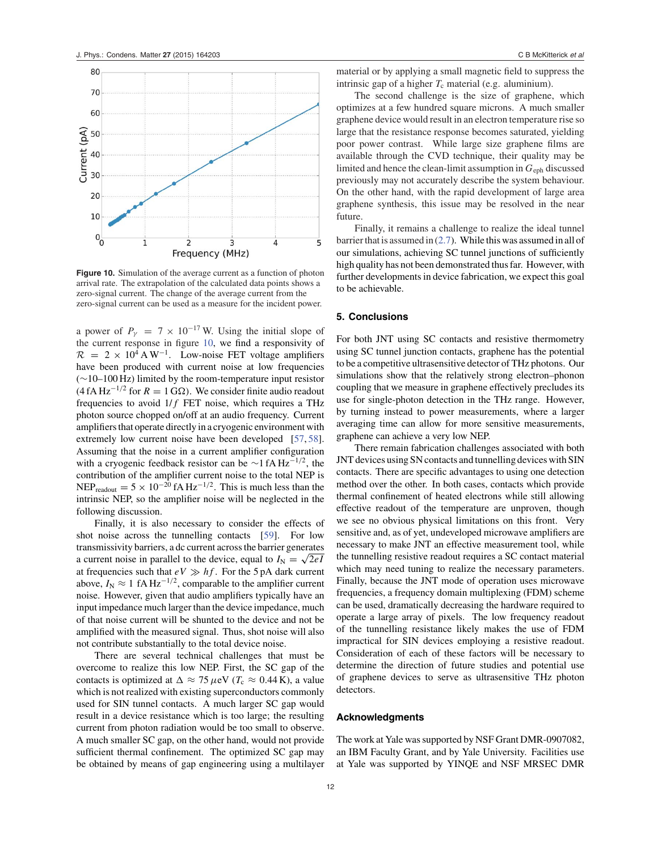

**Figure 10.** Simulation of the average current as a function of photon arrival rate. The extrapolation of the calculated data points shows a zero-signal current. The change of the average current from the zero-signal current can be used as a measure for the incident power.

a power of  $P_{\gamma} = 7 \times 10^{-17}$  W. Using the initial slope of the current response in figure 10, we find a responsivity of  $\mathcal{R} = 2 \times 10^4 \text{ A W}^{-1}$ . Low-noise FET voltage amplifiers have been produced with current noise at low frequencies (∼10–100 Hz) limited by the room-temperature input resistor (4 fA Hz<sup>-1/2</sup> for  $R = 1$  G $\Omega$ ). We consider finite audio readout frequencies to avoid  $1/f$  FET noise, which requires a THz photon source chopped on/off at an audio frequency. Current amplifiers that operate directly in a cryogenic environment with extremely low current noise have been developed [57, 58]. Assuming that the noise in a current amplifier configuration with a cryogenic feedback resistor can be <sup>∼</sup>1 fA Hz−1/2, the contribution of the amplifier current noise to the total NEP is NEP<sub>readout</sub> =  $5 \times 10^{-20}$  fA Hz<sup>-1/2</sup>. This is much less than the intrinsic NEP, so the amplifier noise will be neglected in the following discussion.

Finally, it is also necessary to consider the effects of shot noise across the tunnelling contacts [59]. For low transmissivity barriers, a dc current across the barrier generates a current noise in parallel to the device, equal to  $I_N = \sqrt{2eI}$ at frequencies such that  $eV \gg hf$ . For the 5 pA dark current above,  $I_N \approx 1$  fA Hz<sup>-1/2</sup>, comparable to the amplifier current noise. However, given that audio amplifiers typically have an input impedance much larger than the device impedance, much of that noise current will be shunted to the device and not be amplified with the measured signal. Thus, shot noise will also not contribute substantially to the total device noise.

There are several technical challenges that must be overcome to realize this low NEP. First, the SC gap of the contacts is optimized at  $\Delta \approx 75 \,\mu\text{eV}$  ( $T_c \approx 0.44 \,\text{K}$ ), a value<br>which is not realized with existing superconductors commonly which is not realized with existing superconductors commonly used for SIN tunnel contacts. A much larger SC gap would result in a device resistance which is too large; the resulting current from photon radiation would be too small to observe. A much smaller SC gap, on the other hand, would not provide sufficient thermal confinement. The optimized SC gap may be obtained by means of gap engineering using a multilayer material or by applying a small magnetic field to suppress the intrinsic gap of a higher  $T_c$  material (e.g. aluminium).

The second challenge is the size of graphene, which optimizes at a few hundred square microns. A much smaller graphene device would result in an electron temperature rise so large that the resistance response becomes saturated, yielding poor power contrast. While large size graphene films are available through the CVD technique, their quality may be limited and hence the clean-limit assumption in  $G_{eph}$  discussed previously may not accurately describe the system behaviour. On the other hand, with the rapid development of large area graphene synthesis, this issue may be resolved in the near future.

Finally, it remains a challenge to realize the ideal tunnel barrier that is assumed in  $(2.7)$ . While this was assumed in all of our simulations, achieving SC tunnel junctions of sufficiently high quality has not been demonstrated thus far. However, with further developments in device fabrication, we expect this goal to be achievable.

# **5. Conclusions**

For both JNT using SC contacts and resistive thermometry using SC tunnel junction contacts, graphene has the potential to be a competitive ultrasensitive detector of THz photons. Our simulations show that the relatively strong electron–phonon coupling that we measure in graphene effectively precludes its use for single-photon detection in the THz range. However, by turning instead to power measurements, where a larger averaging time can allow for more sensitive measurements, graphene can achieve a very low NEP.

There remain fabrication challenges associated with both JNT devices using SN contacts and tunnelling devices with SIN contacts. There are specific advantages to using one detection method over the other. In both cases, contacts which provide thermal confinement of heated electrons while still allowing effective readout of the temperature are unproven, though we see no obvious physical limitations on this front. Very sensitive and, as of yet, undeveloped microwave amplifiers are necessary to make JNT an effective measurement tool, while the tunnelling resistive readout requires a SC contact material which may need tuning to realize the necessary parameters. Finally, because the JNT mode of operation uses microwave frequencies, a frequency domain multiplexing (FDM) scheme can be used, dramatically decreasing the hardware required to operate a large array of pixels. The low frequency readout of the tunnelling resistance likely makes the use of FDM impractical for SIN devices employing a resistive readout. Consideration of each of these factors will be necessary to determine the direction of future studies and potential use of graphene devices to serve as ultrasensitive THz photon detectors.

#### **Acknowledgments**

The work at Yale was supported by NSF Grant DMR-0907082, an IBM Faculty Grant, and by Yale University. Facilities use at Yale was supported by YINQE and NSF MRSEC DMR